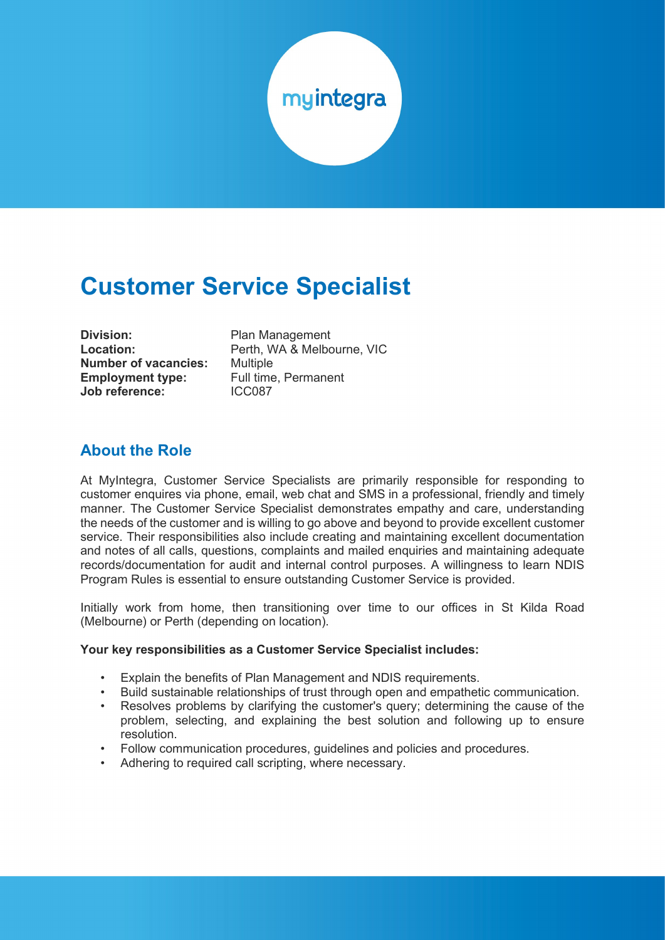

# **Customer Service Specialist**

| Division:                   |
|-----------------------------|
| <b>Location:</b>            |
| <b>Number of vacancies:</b> |
| <b>Employment type:</b>     |
| Job reference:              |

**Division:** Plan Management **Location:** Perth, WA & Melbourne, VIC **Multiple Full time, Permanent Job reference:** ICC087

#### **About the Role**

At MyIntegra, Customer Service Specialists are primarily responsible for responding to customer enquires via phone, email, web chat and SMS in a professional, friendly and timely manner. The Customer Service Specialist demonstrates empathy and care, understanding the needs of the customer and is willing to go above and beyond to provide excellent customer service. Their responsibilities also include creating and maintaining excellent documentation and notes of all calls, questions, complaints and mailed enquiries and maintaining adequate records/documentation for audit and internal control purposes. A willingness to learn NDIS Program Rules is essential to ensure outstanding Customer Service is provided.

Initially work from home, then transitioning over time to our offices in St Kilda Road (Melbourne) or Perth (depending on location).

#### **Your key responsibilities as a Customer Service Specialist includes:**

- Explain the benefits of Plan Management and NDIS requirements.
- Build sustainable relationships of trust through open and empathetic communication.
- Resolves problems by clarifying the customer's query; determining the cause of the problem, selecting, and explaining the best solution and following up to ensure resolution.
- Follow communication procedures, guidelines and policies and procedures.
- Adhering to required call scripting, where necessary.